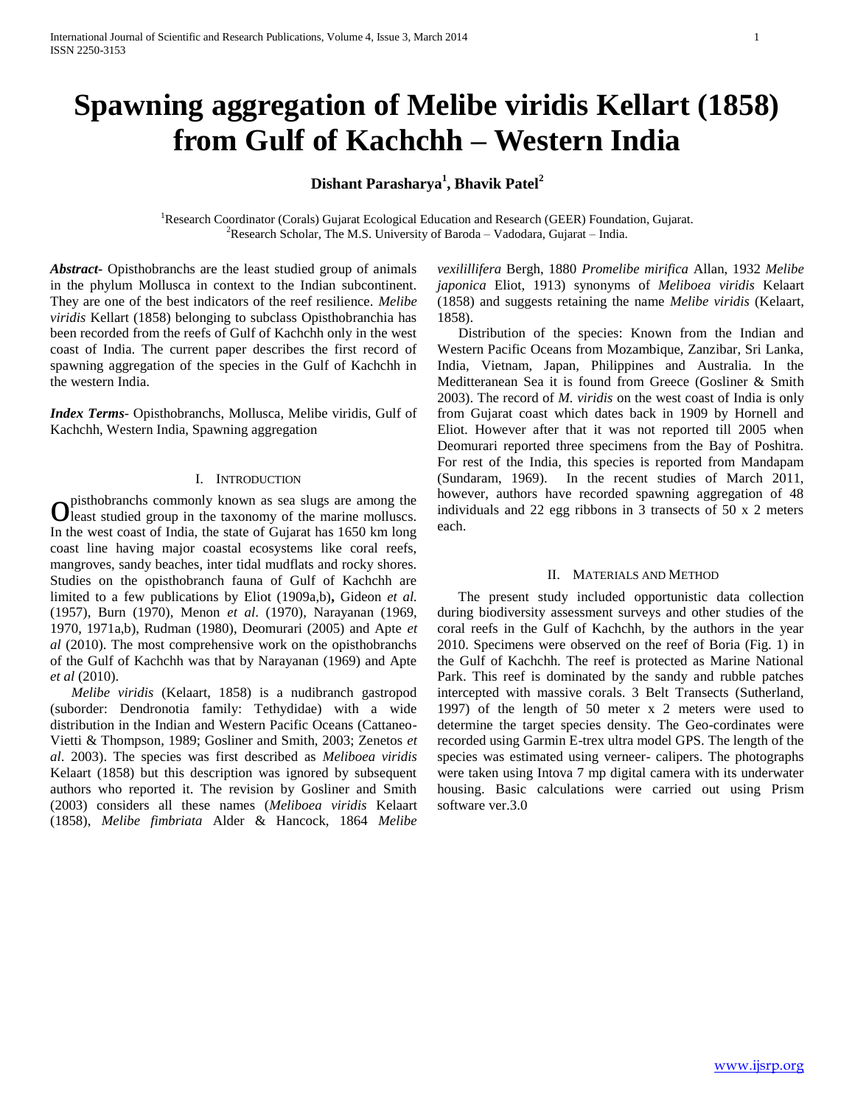# **Spawning aggregation of Melibe viridis Kellart (1858) from Gulf of Kachchh – Western India**

## **Dishant Parasharya<sup>1</sup> , Bhavik Patel<sup>2</sup>**

<sup>1</sup>Research Coordinator (Corals) Gujarat Ecological Education and Research (GEER) Foundation, Gujarat. <sup>2</sup>Research Scholar, The M.S. University of Baroda – Vadodara, Gujarat – India.

*Abstract***-** Opisthobranchs are the least studied group of animals in the phylum Mollusca in context to the Indian subcontinent. They are one of the best indicators of the reef resilience. *Melibe viridis* Kellart (1858) belonging to subclass Opisthobranchia has been recorded from the reefs of Gulf of Kachchh only in the west coast of India. The current paper describes the first record of spawning aggregation of the species in the Gulf of Kachchh in the western India.

*Index Terms*- Opisthobranchs, Mollusca, Melibe viridis, Gulf of Kachchh, Western India, Spawning aggregation

## I. INTRODUCTION

pisthobranchs commonly known as sea slugs are among the O pisthobranchs commonly known as sea slugs are among the least studied group in the taxonomy of the marine molluscs. In the west coast of India, the state of Gujarat has 1650 km long coast line having major coastal ecosystems like coral reefs, mangroves, sandy beaches, inter tidal mudflats and rocky shores. Studies on the opisthobranch fauna of Gulf of Kachchh are limited to a few publications by Eliot (1909a,b)**,** Gideon *et al.*  (1957), Burn (1970), Menon *et al*. (1970), Narayanan (1969, 1970, 1971a,b), Rudman (1980), Deomurari (2005) and Apte *et al* (2010). The most comprehensive work on the opisthobranchs of the Gulf of Kachchh was that by Narayanan (1969) and Apte *et al* (2010).

 *Melibe viridis* (Kelaart, 1858) is a nudibranch gastropod (suborder: Dendronotia family: Tethydidae) with a wide distribution in the Indian and Western Pacific Oceans (Cattaneo-Vietti & Thompson, 1989; Gosliner and Smith, 2003; Zenetos *et al*. 2003). The species was first described as *Meliboea viridis*  Kelaart (1858) but this description was ignored by subsequent authors who reported it. The revision by Gosliner and Smith (2003) considers all these names (*Meliboea viridis* Kelaart (1858), *Melibe fimbriata* Alder & Hancock, 1864 *Melibe* 

*vexilillifera* Bergh, 1880 *Promelibe mirifica* Allan, 1932 *Melibe japonica* Eliot, 1913) synonyms of *Meliboea viridis* Kelaart (1858) and suggests retaining the name *Melibe viridis* (Kelaart, 1858).

Distribution of the species: Known from the Indian and Western Pacific Oceans from Mozambique, Zanzibar, Sri Lanka, India, Vietnam, Japan, Philippines and Australia. In the Meditteranean Sea it is found from Greece (Gosliner & Smith 2003). The record of *M. viridis* on the west coast of India is only from Gujarat coast which dates back in 1909 by Hornell and Eliot. However after that it was not reported till 2005 when Deomurari reported three specimens from the Bay of Poshitra. For rest of the India, this species is reported from Mandapam (Sundaram, 1969). In the recent studies of March 2011, however, authors have recorded spawning aggregation of 48 individuals and 22 egg ribbons in 3 transects of 50 x 2 meters each.

## II. MATERIALS AND METHOD

The present study included opportunistic data collection during biodiversity assessment surveys and other studies of the coral reefs in the Gulf of Kachchh, by the authors in the year 2010. Specimens were observed on the reef of Boria (Fig. 1) in the Gulf of Kachchh. The reef is protected as Marine National Park. This reef is dominated by the sandy and rubble patches intercepted with massive corals. 3 Belt Transects (Sutherland, 1997) of the length of 50 meter x 2 meters were used to determine the target species density. The Geo-cordinates were recorded using Garmin E-trex ultra model GPS. The length of the species was estimated using verneer- calipers. The photographs were taken using Intova 7 mp digital camera with its underwater housing. Basic calculations were carried out using Prism software ver.3.0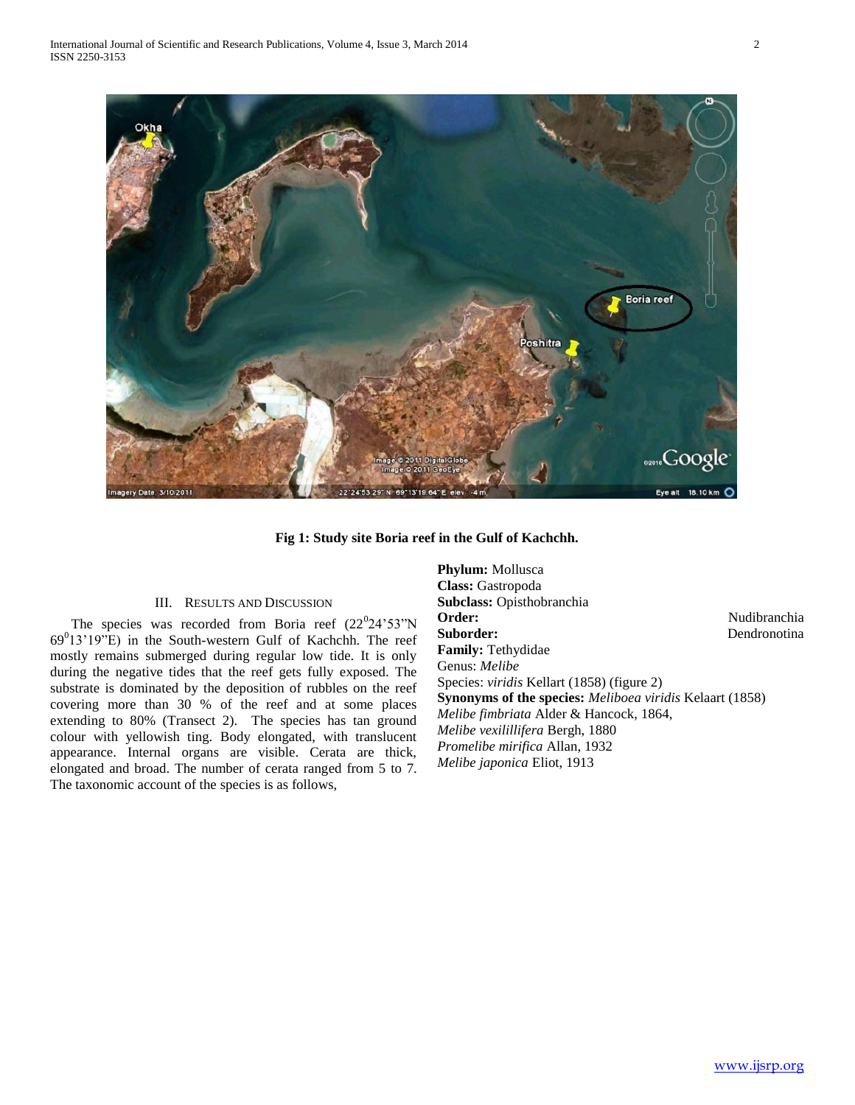

**Fig 1: Study site Boria reef in the Gulf of Kachchh.**

## III. RESULTS AND DISCUSSION

The species was recorded from Boria reef  $(22^024'53''N)$  $69^013'19''E$ ) in the South-western Gulf of Kachchh. The reef mostly remains submerged during regular low tide. It is only during the negative tides that the reef gets fully exposed. The substrate is dominated by the deposition of rubbles on the reef covering more than 30 % of the reef and at some places extending to 80% (Transect 2). The species has tan ground colour with yellowish ting. Body elongated, with translucent appearance. Internal organs are visible. Cerata are thick, elongated and broad. The number of cerata ranged from 5 to 7. The taxonomic account of the species is as follows,

**Phylum:** Mollusca **Class:** Gastropoda **Subclass:** Opisthobranchia Order: Nudibranchia Suborder: Dendronotina **Family:** Tethydidae Genus: *Melibe* Species: *viridis* Kellart (1858) (figure 2) **Synonyms of the species:** *Meliboea viridis* Kelaart (1858) *Melibe fimbriata* Alder & Hancock, 1864, *Melibe vexilillifera* Bergh, 1880 *Promelibe mirifica* Allan, 1932 *Melibe japonica* Eliot, 1913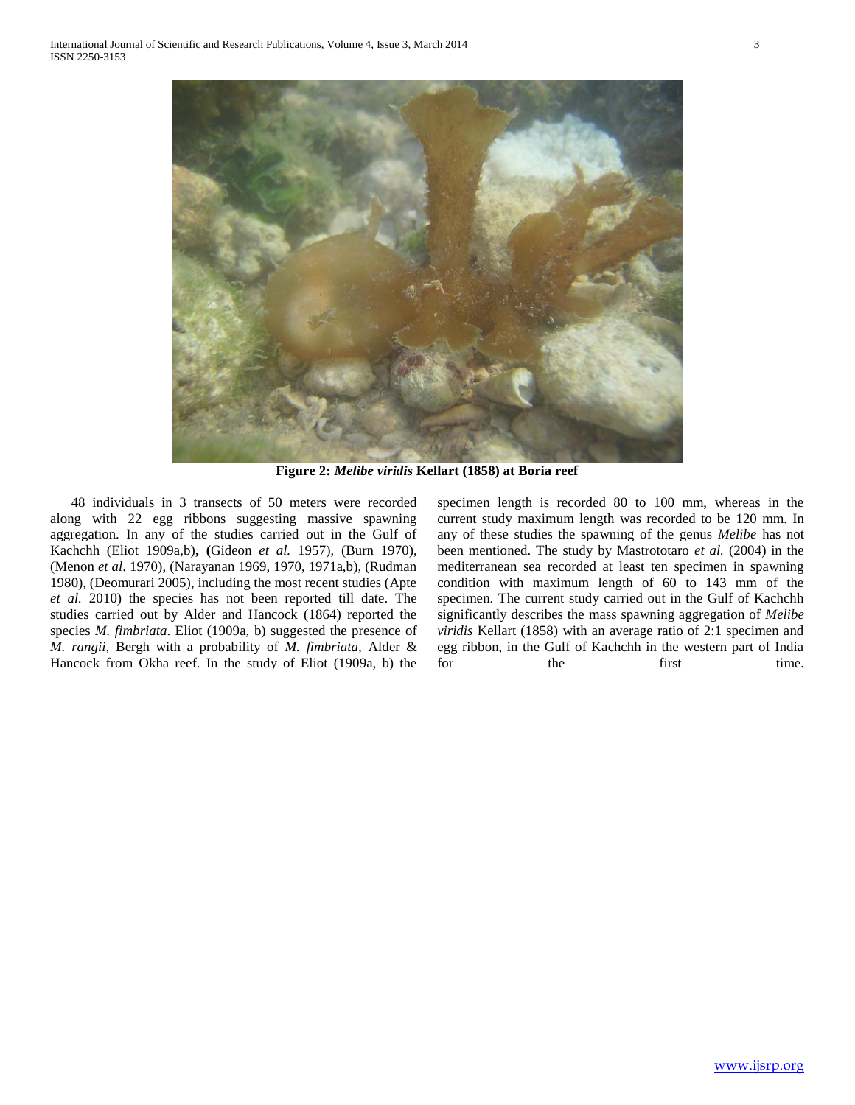

**Figure 2:** *Melibe viridis* **Kellart (1858) at Boria reef**

 48 individuals in 3 transects of 50 meters were recorded along with 22 egg ribbons suggesting massive spawning aggregation. In any of the studies carried out in the Gulf of Kachchh (Eliot 1909a,b)**, (**Gideon *et al.* 1957), (Burn 1970), (Menon *et al*. 1970), (Narayanan 1969, 1970, 1971a,b), (Rudman 1980), (Deomurari 2005), including the most recent studies (Apte *et al.* 2010) the species has not been reported till date. The studies carried out by Alder and Hancock (1864) reported the species *M. fimbriata*. Eliot (1909a, b) suggested the presence of *M. rangii,* Bergh with a probability of *M. fimbriata,* Alder & Hancock from Okha reef. In the study of Eliot (1909a, b) the

specimen length is recorded 80 to 100 mm, whereas in the current study maximum length was recorded to be 120 mm. In any of these studies the spawning of the genus *Melibe* has not been mentioned. The study by Mastrototaro *et al.* (2004) in the mediterranean sea recorded at least ten specimen in spawning condition with maximum length of 60 to 143 mm of the specimen. The current study carried out in the Gulf of Kachchh significantly describes the mass spawning aggregation of *Melibe viridis* Kellart (1858) with an average ratio of 2:1 specimen and egg ribbon, in the Gulf of Kachchh in the western part of India for the first time.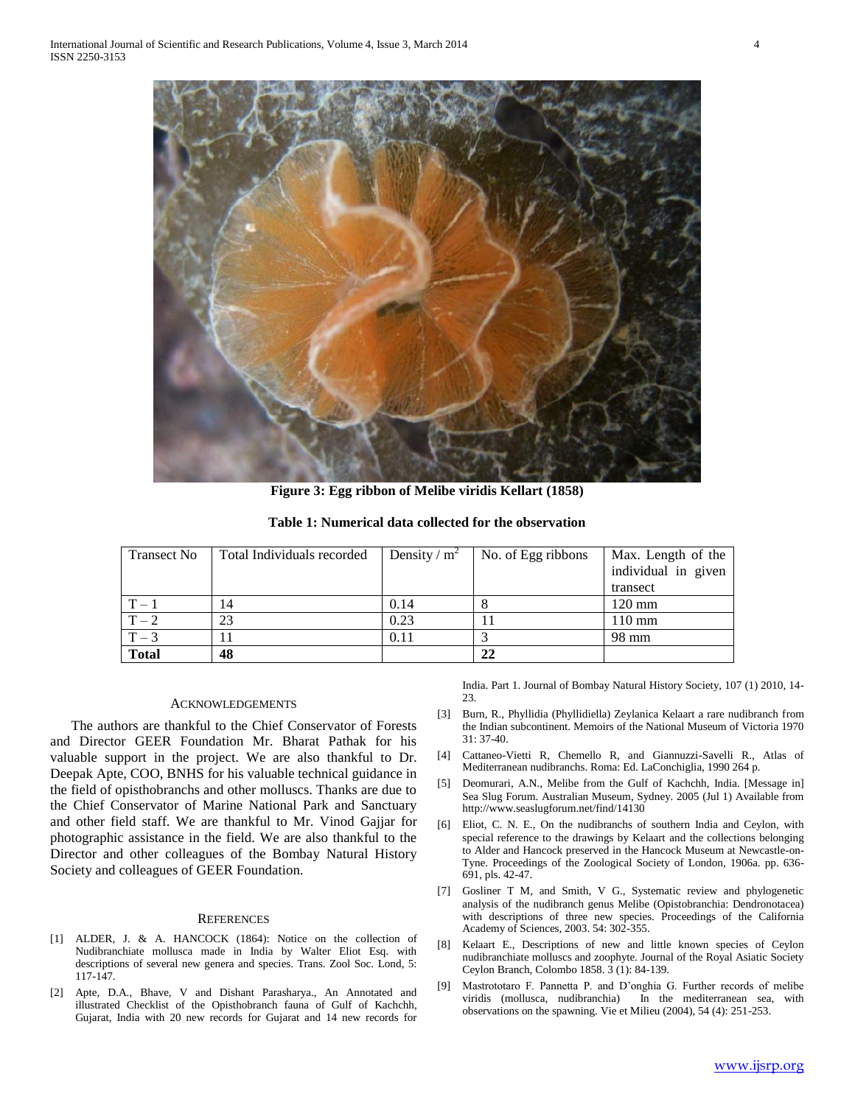

**Figure 3: Egg ribbon of Melibe viridis Kellart (1858)**

**Table 1: Numerical data collected for the observation**

| <b>Transect No</b> | Total Individuals recorded | Density / $m^2$ | No. of Egg ribbons | Max. Length of the  |
|--------------------|----------------------------|-----------------|--------------------|---------------------|
|                    |                            |                 |                    | individual in given |
|                    |                            |                 |                    | transect            |
| $T-1$              | 14                         | 0.14            |                    | $120 \text{ mm}$    |
| $T-2$              | 23                         | 0.23            |                    | $110 \text{ mm}$    |
| $T-3$              |                            | 0.11            |                    | 98 mm               |
| <b>Total</b>       | 48                         |                 | 22                 |                     |

## ACKNOWLEDGEMENTS

 The authors are thankful to the Chief Conservator of Forests and Director GEER Foundation Mr. Bharat Pathak for his valuable support in the project. We are also thankful to Dr. Deepak Apte, COO, BNHS for his valuable technical guidance in the field of opisthobranchs and other molluscs. Thanks are due to the Chief Conservator of Marine National Park and Sanctuary and other field staff. We are thankful to Mr. Vinod Gajjar for photographic assistance in the field. We are also thankful to the Director and other colleagues of the Bombay Natural History Society and colleagues of GEER Foundation.

### **REFERENCES**

- [1] ALDER, J. & A. HANCOCK (1864): Notice on the collection of Nudibranchiate mollusca made in India by Walter Eliot Esq. with descriptions of several new genera and species. Trans. Zool Soc. Lond, 5: 117-147.
- [2] Apte, D.A., Bhave, V and Dishant Parasharya., An Annotated and illustrated Checklist of the Opisthobranch fauna of Gulf of Kachchh, Gujarat, India with 20 new records for Gujarat and 14 new records for

India. Part 1. Journal of Bombay Natural History Society, 107 (1) 2010, 14-  $23$ 

- [3] Burn, R., Phyllidia (Phyllidiella) Zeylanica Kelaart a rare nudibranch from the Indian subcontinent. Memoirs of the National Museum of Victoria 1970 31: 37-40.
- [4] Cattaneo-Vietti R, Chemello R, and Giannuzzi-Savelli R., Atlas of Mediterranean nudibranchs. Roma: Ed. LaConchiglia, 1990 264 p.
- [5] Deomurari, A.N., Melibe from the Gulf of Kachchh, India. [Message in] Sea Slug Forum. Australian Museum, Sydney. 2005 (Jul 1) Available from http://www.seaslugforum.net/find/14130
- [6] Eliot, C. N. E., On the nudibranchs of southern India and Ceylon, with special reference to the drawings by Kelaart and the collections belonging to Alder and Hancock preserved in the Hancock Museum at Newcastle-on-Tyne. Proceedings of the Zoological Society of London, 1906a. pp. 636- 691, pls. 42-47.
- [7] Gosliner T M, and Smith, V G., Systematic review and phylogenetic analysis of the nudibranch genus Melibe (Opistobranchia: Dendronotacea) with descriptions of three new species. Proceedings of the California Academy of Sciences, 2003. 54: 302-355.
- [8] Kelaart E., Descriptions of new and little known species of Ceylon nudibranchiate molluscs and zoophyte. Journal of the Royal Asiatic Society Ceylon Branch, Colombo 1858. 3 (1): 84-139.
- [9] Mastrototaro F. Pannetta P. and D'onghia G. Further records of melibe viridis (mollusca, nudibranchia) In the mediterranean sea, with observations on the spawning. Vie et Milieu (2004), 54 (4): 251-253.